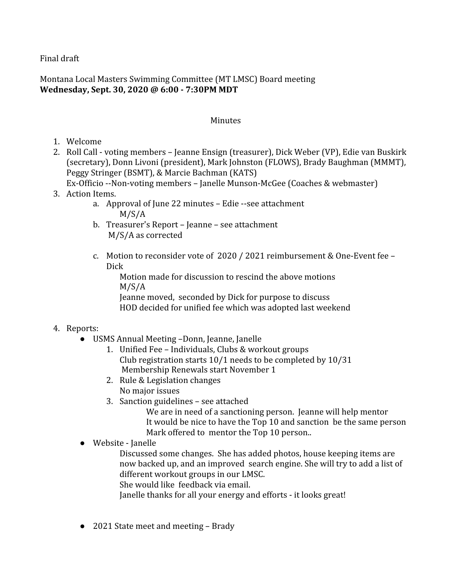Final draft

Montana Local Masters Swimming Committee (MT LMSC) Board meeting **Wednesday, Sept. 30, 2020 @ 6:00 - 7:30PM MDT**

## **Minutes**

- 1. Welcome
- 2. Roll Call voting members Jeanne Ensign (treasurer), Dick Weber (VP), Edie van Buskirk (secretary), Donn Livoni (president), Mark Johnston (FLOWS), Brady Baughman (MMMT), Peggy Stringer (BSMT), & Marcie Bachman (KATS)
	- Ex-Officio --Non-voting members Janelle Munson-McGee (Coaches & webmaster)
- 3. Action Items.
	- a. Approval of June 22 minutes Edie --see attachment M/S/A
	- b. Treasurer's Report Jeanne see attachment M/S/A as corrected
	- c. Motion to reconsider vote of 2020 / 2021 reimbursement & One-Event fee Dick

Motion made for discussion to rescind the above motions M/S/A

Jeanne moved, seconded by Dick for purpose to discuss HOD decided for unified fee which was adopted last weekend

## 4. Reports:

- USMS Annual Meeting –Donn, Jeanne, Janelle
	- 1. Unified Fee Individuals, Clubs & workout groups Club registration starts 10/1 needs to be completed by 10/31 Membership Renewals start November 1
	- 2. Rule & Legislation changes No major issues
	- 3. Sanction guidelines see attached

We are in need of a sanctioning person. Jeanne will help mentor It would be nice to have the Top 10 and sanction be the same person Mark offered to mentor the Top 10 person..

● Website - Janelle

Discussed some changes. She has added photos, house keeping items are now backed up, and an improved search engine. She will try to add a list of different workout groups in our LMSC.

She would like feedback via email.

Janelle thanks for all your energy and efforts - it looks great!

● 2021 State meet and meeting – Brady